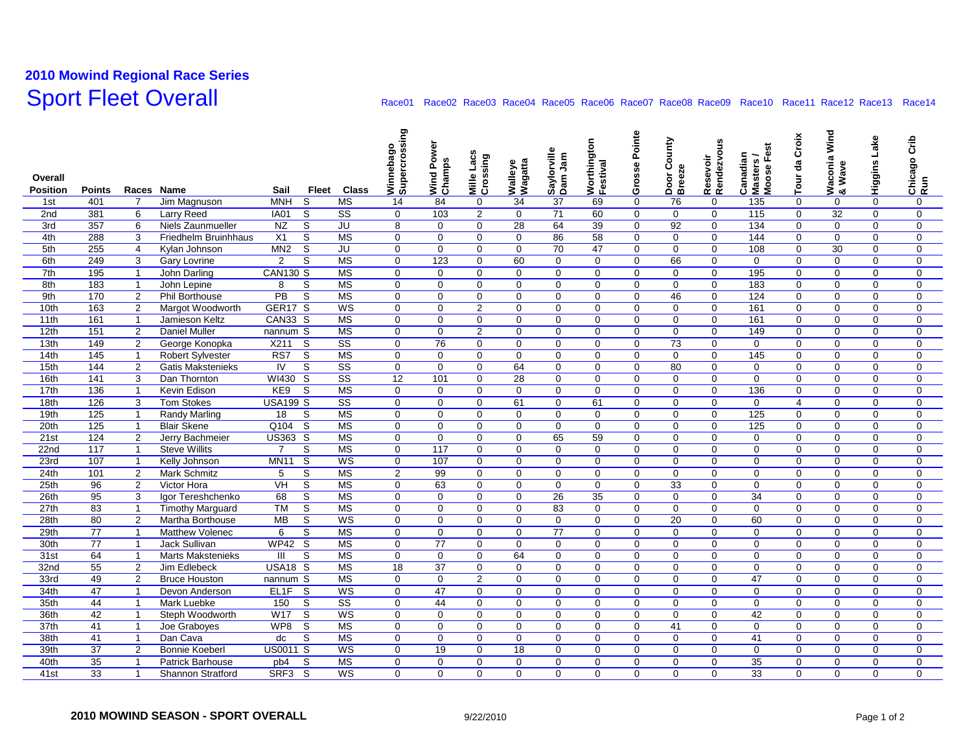## **2010 Mowind Regional Race Series** Sport Fleet Overall Race01 Race01 Race02 Race03 Race04 Race06 Race06 Race07 Race08 Race09 Race10 Race11 Race12 Race14

|                          |                 |                                  |                                   |                         |                                                   | Winnebago<br>Supercrossing |                                |                         |                         |                        |                         | Pointe                  |                  |                         |                                     | Croix                   | Waconia Wind<br>& Wave  |                      | Crib                    |
|--------------------------|-----------------|----------------------------------|-----------------------------------|-------------------------|---------------------------------------------------|----------------------------|--------------------------------|-------------------------|-------------------------|------------------------|-------------------------|-------------------------|------------------|-------------------------|-------------------------------------|-------------------------|-------------------------|----------------------|-------------------------|
|                          |                 |                                  |                                   |                         |                                                   |                            | Power                          | Lacs                    |                         | Saylorville<br>Dam Jam | Worthington<br>Festival |                         | County           | Resevoir<br>Rendezvous  | Canadian<br>Masters /<br>Moose Fest | 명                       |                         | Higgins Lake         |                         |
| Overall                  |                 |                                  |                                   |                         |                                                   |                            | Wind Pow<br>Champs             | Crossing                | Walleye<br>Wagatta      |                        |                         | Grosse                  | Door C<br>Breeze |                         |                                     |                         |                         |                      | Chicago<br>Run          |
| <b>Position</b>          | <b>Points</b>   | Races Name                       |                                   | Sail                    | Fleet<br><b>Class</b>                             |                            |                                | Mille                   |                         |                        |                         |                         |                  |                         |                                     | Tour                    |                         |                      |                         |
| 1st                      | 401             | 7                                | Jim Magnuson                      | <b>MNH</b>              | S<br><b>MS</b>                                    | 14                         | 84                             | 0                       | 34                      | 37                     | 69                      | $\mathbf 0$             | 76               | $\mathbf 0$             | 135                                 | $\mathbf 0$             | 0                       | $\mathbf 0$          | $\mathbf 0$             |
| 2 <sub>nd</sub>          | 381             | 6                                | Larry Reed                        | <b>IA01</b>             | S<br>$\overline{\text{ss}}$                       | $\mathbf 0$                | 103                            | 2                       | $\mathbf 0$             | 71                     | 60                      | $\Omega$                | $\mathbf 0$      | $\Omega$                | 115                                 | $\Omega$                | 32                      | $\Omega$             | $\mathbf 0$             |
| 3rd                      | 357             | 6                                | Niels Zaunmueller                 | NZ                      | S<br>JU                                           | 8                          | $\mathbf 0$                    | $\mathbf 0$             | $\overline{28}$         | 64                     | 39                      | $\mathbf 0$             | 92               | $\mathbf 0$             | 134                                 | $\mathbf 0$             | $\mathbf 0$             | $\Omega$             | $\mathbf 0$             |
| 4th                      | 288             | 3                                | <b>Friedhelm Bruinhhaus</b>       | $\overline{X1}$         | $\overline{s}$<br>MS                              | $\mathbf 0$                | $\mathbf 0$                    | $\mathbf 0$             | $\mathbf 0$             | 86                     | 58                      | $\Omega$                | $\mathbf 0$      | $\mathbf 0$             | 144                                 | $\mathbf 0$             | $\mathbf 0$             | $\Omega$             | $\mathbf{0}$            |
| 5th                      | 255             | $\overline{4}$                   | Kylan Johnson                     | MN <sub>2</sub>         | S<br>$\overline{\mathsf{J}\mathsf{U}}$            | $\mathbf 0$                | $\mathbf 0$                    | $\Omega$                | $\mathbf 0$             | 70                     | 47                      | $\mathbf 0$             | 0                | $\mathbf 0$             | 108                                 | $\Omega$                | 30                      | $\Omega$             | $\mathbf 0$             |
| 6th                      | 249             | 3                                | <b>Gary Lovrine</b>               | $\overline{2}$          | S<br>MS                                           | $\mathbf 0$                | 123                            | $\mathbf 0$             | 60                      | $\mathbf 0$            | $\mathbf 0$             | $\mathbf 0$             | 66               | $\mathbf 0$             | $\mathbf 0$                         | $\mathbf 0$             | $\mathbf 0$             | $\mathbf 0$          | $\mathbf 0$             |
| 7th                      | 195             | $\overline{1}$                   | John Darling                      | <b>CAN130 S</b>         | MS                                                | $\mathbf 0$                | $\Omega$                       | $\Omega$                | $\mathbf 0$             | $\Omega$               | $\boldsymbol{0}$        | $\Omega$                | 0                | $\mathbf 0$             | 195                                 | $\mathbf 0$             | $\Omega$                | $\Omega$             | $\mathbf 0$             |
| 8th                      | 183             | $\mathbf{1}$                     | John Lepine                       | 8                       | S<br>MS                                           | $\mathbf 0$                | $\mathbf 0$                    | $\mathbf 0$             | $\mathbf 0$             | $\mathbf 0$            | $\mathbf 0$             | $\mathbf 0$             | $\mathbf 0$      | $\mathbf 0$             | 183                                 | $\mathbf 0$             | $\mathbf 0$             | $\Omega$             | $\mathbf 0$             |
| 9th                      | 170             | $\overline{2}$                   | <b>Phil Borthouse</b>             | $\overline{PB}$         | $\overline{\mathsf{s}}$<br>MS                     | $\mathbf 0$                | $\Omega$                       | $\mathbf 0$             | $\Omega$                | $\Omega$               | $\Omega$                | $\Omega$                | 46               | $\mathbf 0$             | 124                                 | $\Omega$                | $\mathbf 0$             | $\Omega$             | $\mathbf{0}$            |
| 10th                     | 163             | $\overline{2}$                   | Margot Woodworth                  | GER <sub>17</sub> S     | WS                                                | $\mathbf 0$                | $\Omega$                       | 2                       | $\mathbf 0$             | $\Omega$               | $\mathbf 0$             | $\Omega$                | 0                | $\mathbf 0$             | 161                                 | $\Omega$                | $\Omega$                | $\Omega$             | $\mathbf 0$             |
| 11th                     | 161             | $\mathbf{1}$                     | Jamieson Keltz                    | <b>CAN33 S</b>          | MS                                                | $\mathbf 0$                | $\Omega$                       | $\mathbf 0$             | $\mathbf 0$             | $\mathbf 0$            | $\mathbf 0$             | $\mathbf 0$             | 0                | $\mathbf 0$             | 161                                 | $\mathbf 0$             | $\mathbf 0$             | $\Omega$             | $\mathbf 0$             |
| 12 <sub>th</sub>         | 151             | $\overline{2}$                   | <b>Daniel Muller</b>              | nannum S                | MS                                                | $\mathbf 0$                | $\mathbf 0$                    | $\overline{2}$          | $\mathbf 0$             | $\Omega$               | $\mathbf 0$             | $\Omega$                | 0                | $\mathbf 0$             | 149                                 | $\Omega$                | $\Omega$                | $\Omega$             | $\mathbf 0$             |
| 13th                     | 149             | $\overline{2}$                   | George Konopka                    | X211                    | $\overline{\mathsf{s}}$<br>$\overline{\text{SS}}$ | $\mathbf 0$                | $\overline{76}$                | $\mathbf 0$             | $\mathbf 0$             | $\Omega$               | $\mathbf 0$             | $\Omega$                | $\overline{73}$  | $\mathbf 0$             | $\Omega$                            | $\Omega$                | $\mathbf 0$             | $\Omega$             | $\mathbf 0$             |
| 14th                     | 145             | $\overline{1}$                   | <b>Robert Sylvester</b>           | RS7                     | $\overline{\mathsf{s}}$<br>MS                     | $\overline{0}$             | $\Omega$                       | $\Omega$                | $\mathbf 0$             | $\Omega$               | $\overline{0}$          | $\Omega$                | $\mathbf 0$      | $\overline{0}$          | 145                                 | $\Omega$                | $\mathbf 0$             | $\Omega$             | $\overline{0}$          |
| 15th                     | 144             | $\overline{2}$                   | Gatis Makstenieks                 | IV                      | $\overline{\mathsf{s}}$<br>$\overline{\text{ss}}$ | $\Omega$                   | $\Omega$                       | $\Omega$                | 64                      | $\Omega$               | $\Omega$                | $\Omega$                | 80               | $\Omega$                | $\Omega$                            | $\Omega$                | $\Omega$                | $\Omega$             | $\mathbf{0}$            |
| 16th                     | 141             | 3                                | Dan Thornton                      | WI430                   | S<br>$\overline{\text{ss}}$                       | $\overline{12}$            | 101                            | $\Omega$                | 28                      | $\mathbf 0$            | $\mathbf 0$             | $\Omega$                | $\Omega$         | $\mathbf 0$             | $\Omega$                            | $\mathbf 0$             | $\mathbf 0$             | $\Omega$             | $\mathbf 0$             |
| 17th                     | 136             | $\overline{1}$                   | Kevin Edison                      | KE <sub>9</sub>         | S<br>MS                                           | $\mathbf 0$                | $\Omega$                       | $\Omega$                | $\mathbf 0$             | $\Omega$               | $\mathbf 0$             | $\Omega$                | $\Omega$         | $\Omega$                | 136                                 | $\Omega$                | $\Omega$                | $\Omega$             | $\mathbf{0}$            |
| 18 <sub>th</sub>         | 126             | 3                                | <b>Tom Stokes</b>                 | <b>USA199 S</b>         | $\overline{\text{ss}}$                            | $\mathbf 0$                | $\mathbf 0$                    | $\mathbf 0$             | 61                      | $\mathbf 0$            | 61                      | 0                       | 0                | 0                       | $\mathbf 0$                         | $\overline{4}$          | 0                       | $\mathbf 0$          | $\mathbf 0$             |
| 19th                     | 125             | $\overline{1}$                   | <b>Randy Marling</b>              | 18                      | S<br>MS                                           | $\mathbf 0$                | $\mathbf 0$                    | $\mathbf 0$             | $\mathbf 0$             | $\mathbf 0$            | $\mathbf 0$             | $\mathbf 0$             | 0                | $\mathbf 0$             | 125                                 | $\mathbf 0$             | $\mathbf 0$             | $\mathbf 0$          | $\mathbf 0$             |
| 20th                     | 125             | $\mathbf{1}$                     | <b>Blair Skene</b>                | Q104                    | S<br>MS                                           | $\mathbf 0$                | $\mathbf 0$                    | $\mathbf 0$             | 0                       | $\mathbf 0$            | $\mathbf 0$             | $\Omega$                | 0                | $\mathbf 0$             | 125                                 | $\mathbf 0$             | $\mathbf 0$             | $\mathbf 0$          | $\mathbf 0$             |
| 21st                     | 124             | $\overline{2}$                   | Jerry Bachmeier                   | <b>US363</b>            | S<br><b>MS</b>                                    | $\mathbf 0$                | $\mathbf 0$                    | $\mathbf 0$             | $\mathbf 0$             | 65                     | 59                      | $\mathbf 0$             | 0                | $\mathbf 0$             | $\mathbf 0$                         | $\mathbf 0$             | $\mathbf 0$             | $\mathbf 0$          | $\mathbf 0$             |
| 22nd                     | 117             | $\overline{1}$                   | <b>Steve Willits</b>              | $\overline{7}$          | <b>MS</b><br>S                                    | $\mathbf 0$                | 117                            | $\mathbf 0$             | $\mathbf 0$             | $\mathbf 0$            | $\boldsymbol{0}$        | $\mathbf 0$             | 0                | $\mathbf 0$             | 0                                   | $\mathbf 0$             | $\mathbf 0$             | $\mathbf 0$          | $\mathbf 0$             |
| 23rd                     | 107             | $\mathbf{1}$                     | Kelly Johnson                     | <b>MN11</b>             | S<br>WS                                           | $\mathbf 0$                | 107                            | $\mathbf 0$             | $\mathbf 0$             | $\mathbf 0$            | $\mathbf 0$             | $\mathbf 0$             | 0                | 0                       | $\Omega$                            | $\mathbf 0$             | $\mathbf 0$             | $\mathbf 0$          | $\mathbf 0$             |
| 24th                     | 101             | $\overline{2}$                   | <b>Mark Schmitz</b>               | 5                       | S<br>MS                                           | 2                          | 99                             | $\mathbf 0$             | $\mathbf 0$             | $\mathbf 0$            | $\mathbf 0$             | $\Omega$                | 0                | $\mathbf 0$             | $\Omega$                            | $\mathbf{0}$            | $\mathbf 0$             | $\Omega$             | $\mathbf 0$             |
| 25th                     | 96              | $\overline{2}$                   | Victor Hora                       | VH                      | S<br>MS                                           | $\mathbf 0$                | 63                             | $\mathbf 0$             | $\mathbf 0$             | $\mathbf 0$            | $\mathbf 0$             | $\Omega$                | 33               | $\mathbf 0$             | $\Omega$                            | $\mathbf 0$             | $\mathbf 0$             | $\Omega$             | $\mathbf 0$             |
| 26th                     | 95              | 3                                | Igor Tereshchenko                 | 68                      | S<br>MS                                           | $\mathbf 0$                | $\mathbf 0$                    | $\mathbf 0$             | $\mathbf 0$             | 26                     | 35                      | $\mathbf 0$             | $\mathbf 0$      | $\mathbf 0$             | 34                                  | $\mathbf 0$             | $\mathbf 0$             | $\mathbf 0$          | $\mathbf 0$             |
| 27th                     | 83              | $\overline{1}$                   | <b>Timothy Marguard</b>           | T M                     | S<br>MS                                           | $\mathbf 0$                | $\mathbf 0$                    | $\mathbf 0$             | $\mathbf{0}$            | 83                     | $\boldsymbol{0}$        | $\mathbf 0$             | 0                | $\mathbf 0$             | 0                                   | $\mathbf 0$             | $\mathbf 0$             | $\mathbf 0$          | $\mathbf 0$             |
| 28th                     | 80              | $\overline{2}$                   | Martha Borthouse                  | MB                      | S<br>WS                                           | $\mathbf 0$                | $\mathbf 0$                    | $\mathbf 0$             | $\mathbf 0$             | $\mathbf 0$            | $\mathbf 0$             | $\mathbf 0$             | 20               | 0                       | 60                                  | $\mathbf 0$             | $\mathbf 0$             | $\Omega$             | $\mathbf 0$             |
| 29th                     | $\overline{77}$ | $\overline{1}$                   | Matthew Volenec                   | 6                       | $\overline{s}$<br>MS                              | $\mathbf 0$                | $\mathbf 0$                    | $\mathbf 0$             | $\mathbf 0$             | 77                     | $\mathbf 0$             | $\Omega$                | 0                | $\mathbf 0$             | $\Omega$                            | $\mathbf 0$             | $\mathbf 0$             | $\Omega$             | $\mathbf 0$             |
| 30th                     | $\overline{77}$ | $\overline{1}$                   | <b>Jack Sullivan</b>              | <b>WP42</b>             | $\overline{\mathsf{s}}$<br>MS                     | $\mathbf 0$                | 77                             | $\Omega$                | $\mathbf 0$             | $\mathbf 0$            | $\mathbf 0$             | $\Omega$                | 0                | $\mathbf 0$             | $\Omega$                            | $\mathbf 0$             | $\mathbf 0$             | $\Omega$             | $\mathbf 0$             |
| 31 <sub>st</sub>         | 64              | $\overline{1}$                   | Marts Makstenieks                 | III                     | S<br>MS                                           | $\mathbf 0$                | $\mathbf 0$                    | $\Omega$                | 64                      | $\Omega$               | $\mathbf 0$             | $\mathbf 0$             | $\Omega$         | $\mathbf 0$             | $\Omega$                            | $\Omega$                | $\Omega$                | $\Omega$             | $\mathbf 0$             |
| 32 <sub>nd</sub>         | 55              | $\overline{2}$                   | Jim Edlebeck                      | <b>USA18 S</b>          | <b>MS</b>                                         | 18                         | 37                             | $\mathbf 0$             | $\mathbf 0$             | $\mathbf 0$            | $\mathbf 0$             | $\mathbf 0$             | $\mathbf 0$      | $\mathbf 0$             | 0                                   | $\mathbf{0}$            | $\mathbf 0$             | $\mathbf 0$          | $\mathbf 0$             |
| 33rd                     | 49              | $\overline{2}$                   | <b>Bruce Houston</b>              | nannum S                | <b>MS</b>                                         | $\mathbf 0$                | $\mathbf 0$                    | $\overline{2}$          | $\mathbf 0$             | $\Omega$               | $\mathbf 0$             | $\mathbf 0$             | 0                | $\mathbf 0$             | 47                                  | $\mathbf 0$             | $\mathbf 0$             | $\Omega$             | $\mathbf 0$             |
| 34th<br>35 <sub>th</sub> | 47              | $\overline{1}$                   | Devon Anderson                    | EL1F                    | S<br>WS<br>$\overline{\text{ss}}$                 | $\mathbf 0$                | 47                             | $\Omega$                | $\Omega$                | $\Omega$               | $\mathbf 0$             | $\Omega$                | $\mathbf 0$      | $\mathbf 0$             | $\Omega$                            | $\Omega$                | $\mathbf 0$             | $\Omega$             | $\mathbf{0}$            |
|                          | 44<br>42        | $\overline{1}$<br>$\overline{1}$ | <b>Mark Luebke</b>                | 150<br>W17              | S                                                 | $\mathbf 0$                | 44                             | $\Omega$                | $\mathbf 0$             | $\Omega$               | $\Omega$                | $\Omega$                | $\Omega$         | $\Omega$                | $\Omega$                            | $\Omega$                | $\Omega$                | $\Omega$             | $\mathbf 0$             |
| 36th                     |                 |                                  | Steph Woodworth                   | WP8                     | $\overline{\mathsf{s}}$<br><b>WS</b><br>MS        | $\Omega$                   | $\Omega$                       | $\Omega$                | $\Omega$                | $\Omega$               | $\mathbf 0$             | $\Omega$                | $\Omega$         | $\Omega$                | 42                                  | $\Omega$                | $\Omega$                | $\Omega$             | $\mathbf 0$             |
| 37 <sub>th</sub>         | 41              | $\mathbf{1}$                     | Joe Graboyes                      |                         | S                                                 | $\mathbf 0$                | $\mathbf{0}$                   | $\mathbf 0$             | $\mathbf{0}$            | $\mathbf 0$            | $\mathbf 0$             | $\mathbf 0$             | 41               | $\mathbf 0$             | $\Omega$                            | $\mathbf{0}$            | $\mathbf 0$             | $\mathbf{0}$         | $\mathbf 0$             |
| 38 <sub>th</sub><br>39th | 41<br>37        | $\overline{1}$<br>$\overline{2}$ | Dan Cava<br><b>Bonnie Koeberl</b> | dc<br><b>US0011 S</b>   | S<br>MS<br>WS                                     | $\mathbf 0$<br>$\mathbf 0$ | $\mathbf 0$<br>$\overline{19}$ | $\mathbf 0$<br>$\Omega$ | $\mathbf{0}$<br>18      | $\Omega$<br>$\Omega$   | $\mathbf 0$<br>$\Omega$ | $\mathbf 0$<br>$\Omega$ | 0<br>$\Omega$    | $\mathbf 0$<br>$\Omega$ | 41<br>$\Omega$                      | $\mathbf 0$<br>$\Omega$ | $\mathbf 0$<br>$\Omega$ | $\Omega$<br>$\Omega$ | $\mathbf 0$<br>$\Omega$ |
| 40th                     | 35              | $\mathbf{1}$                     |                                   |                         | S<br>MS                                           | $\mathbf 0$                | $\Omega$                       | $\Omega$                |                         | $\Omega$               | $\Omega$                | $\Omega$                | $\Omega$         | $\Omega$                | 35                                  | $\Omega$                | $\Omega$                | $\Omega$             |                         |
|                          |                 | $\mathbf{1}$                     | <b>Patrick Barhouse</b>           | pb4<br>SRF <sub>3</sub> | WS                                                | $\Omega$                   | $\Omega$                       | $\Omega$                | $\mathbf 0$<br>$\Omega$ | $\Omega$               | $\Omega$                | $\Omega$                | $\Omega$         | $\Omega$                | 33                                  | $\Omega$                | $\Omega$                | $\Omega$             | $\mathbf 0$<br>$\Omega$ |
| 41 <sub>st</sub>         | 33              |                                  | Shannon Stratford                 |                         | S                                                 |                            |                                |                         |                         |                        |                         |                         |                  |                         |                                     |                         |                         |                      |                         |